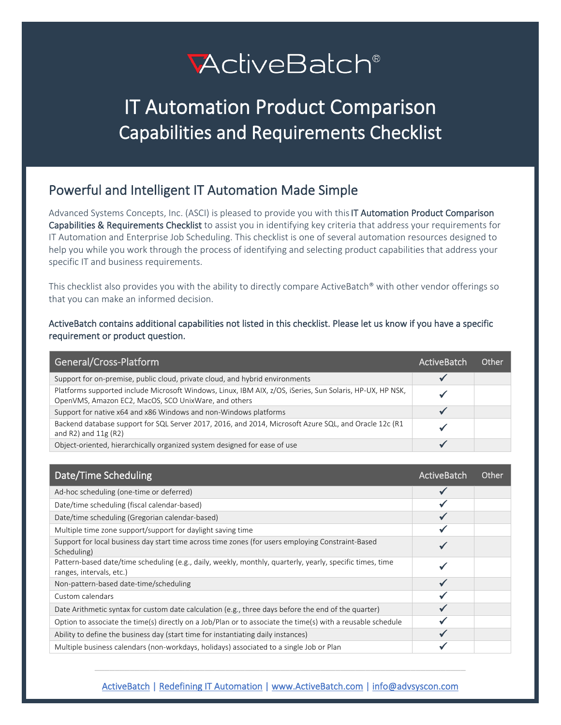# **ActiveBatch®**

## IT Automation Product Comparison Capabilities and Requirements Checklist

## Powerful and Intelligent IT Automation Made Simple

Advanced Systems Concepts, Inc. (ASCI) is pleased to provide you with this IT Automation Product Comparison Capabilities & Requirements Checklist to assist you in identifying key criteria that address your requirements for IT Automation and Enterprise Job Scheduling. This checklist is one of several automation resources designed to help you while you work through the process of identifying and selecting product capabilities that address your specific IT and business requirements.

This checklist also provides you with the ability to directly compare ActiveBatch® with other vendor offerings so that you can make an informed decision.

#### ActiveBatch contains additional capabilities not listed in this checklist. Please let us know if you have a specific requirement or product question.

| General/Cross-Platform                                                                                                                                            | ActiveBatch | Other |
|-------------------------------------------------------------------------------------------------------------------------------------------------------------------|-------------|-------|
| Support for on-premise, public cloud, private cloud, and hybrid environments                                                                                      |             |       |
| Platforms supported include Microsoft Windows, Linux, IBM AIX, z/OS, iSeries, Sun Solaris, HP-UX, HP NSK,<br>OpenVMS, Amazon EC2, MacOS, SCO UnixWare, and others |             |       |
| Support for native x64 and x86 Windows and non-Windows platforms                                                                                                  |             |       |
| Backend database support for SQL Server 2017, 2016, and 2014, Microsoft Azure SQL, and Oracle 12c (R1<br>and R2) and $11g(R2)$                                    |             |       |
| Object-oriented, hierarchically organized system designed for ease of use                                                                                         |             |       |

| Date/Time Scheduling                                                                                                                  | ActiveBatch | Other |
|---------------------------------------------------------------------------------------------------------------------------------------|-------------|-------|
| Ad-hoc scheduling (one-time or deferred)                                                                                              |             |       |
| Date/time scheduling (fiscal calendar-based)                                                                                          |             |       |
| Date/time scheduling (Gregorian calendar-based)                                                                                       |             |       |
| Multiple time zone support/support for daylight saving time                                                                           |             |       |
| Support for local business day start time across time zones (for users employing Constraint-Based<br>Scheduling)                      |             |       |
| Pattern-based date/time scheduling (e.g., daily, weekly, monthly, quarterly, yearly, specific times, time<br>ranges, intervals, etc.) |             |       |
| Non-pattern-based date-time/scheduling                                                                                                |             |       |
| Custom calendars                                                                                                                      |             |       |
| Date Arithmetic syntax for custom date calculation (e.g., three days before the end of the quarter)                                   |             |       |
| Option to associate the time(s) directly on a Job/Plan or to associate the time(s) with a reusable schedule                           |             |       |
| Ability to define the business day (start time for instantiating daily instances)                                                     |             |       |
| Multiple business calendars (non-workdays, holidays) associated to a single Job or Plan                                               |             |       |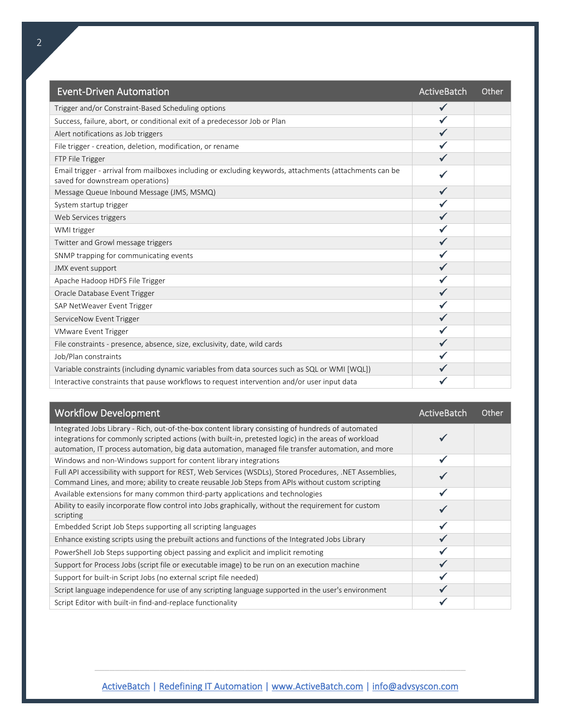| <b>Event-Driven Automation</b>                                                                                                              | ActiveBatch  | Other |
|---------------------------------------------------------------------------------------------------------------------------------------------|--------------|-------|
| Trigger and/or Constraint-Based Scheduling options                                                                                          | $\checkmark$ |       |
| Success, failure, abort, or conditional exit of a predecessor Job or Plan                                                                   |              |       |
| Alert notifications as Job triggers                                                                                                         |              |       |
| File trigger - creation, deletion, modification, or rename                                                                                  |              |       |
| FTP File Trigger                                                                                                                            |              |       |
| Email trigger - arrival from mailboxes including or excluding keywords, attachments (attachments can be<br>saved for downstream operations) |              |       |
| Message Queue Inbound Message (JMS, MSMQ)                                                                                                   |              |       |
| System startup trigger                                                                                                                      |              |       |
| Web Services triggers                                                                                                                       |              |       |
| WMI trigger                                                                                                                                 |              |       |
| Twitter and Growl message triggers                                                                                                          |              |       |
| SNMP trapping for communicating events                                                                                                      |              |       |
| JMX event support                                                                                                                           |              |       |
| Apache Hadoop HDFS File Trigger                                                                                                             |              |       |
| Oracle Database Event Trigger                                                                                                               |              |       |
| SAP NetWeaver Event Trigger                                                                                                                 |              |       |
| ServiceNow Event Trigger                                                                                                                    |              |       |
| <b>VMware Event Trigger</b>                                                                                                                 |              |       |
| File constraints - presence, absence, size, exclusivity, date, wild cards                                                                   |              |       |
| Job/Plan constraints                                                                                                                        |              |       |
| Variable constraints (including dynamic variables from data sources such as SQL or WMI [WQL])                                               |              |       |
| Interactive constraints that pause workflows to request intervention and/or user input data                                                 |              |       |

| <b>Workflow Development</b>                                                                                                                                                                                                                                                                                      | ActiveBatch | Other |
|------------------------------------------------------------------------------------------------------------------------------------------------------------------------------------------------------------------------------------------------------------------------------------------------------------------|-------------|-------|
| Integrated Jobs Library - Rich, out-of-the-box content library consisting of hundreds of automated<br>integrations for commonly scripted actions (with built-in, pretested logic) in the areas of workload<br>automation, IT process automation, big data automation, managed file transfer automation, and more |             |       |
| Windows and non-Windows support for content library integrations                                                                                                                                                                                                                                                 |             |       |
| Full API accessibility with support for REST, Web Services (WSDLs), Stored Procedures, .NET Assemblies,<br>Command Lines, and more; ability to create reusable Job Steps from APIs without custom scripting                                                                                                      |             |       |
| Available extensions for many common third-party applications and technologies                                                                                                                                                                                                                                   |             |       |
| Ability to easily incorporate flow control into Jobs graphically, without the requirement for custom<br>scripting                                                                                                                                                                                                |             |       |
| Embedded Script Job Steps supporting all scripting languages                                                                                                                                                                                                                                                     |             |       |
| Enhance existing scripts using the prebuilt actions and functions of the Integrated Jobs Library                                                                                                                                                                                                                 |             |       |
| PowerShell Job Steps supporting object passing and explicit and implicit remoting                                                                                                                                                                                                                                |             |       |
| Support for Process Jobs (script file or executable image) to be run on an execution machine                                                                                                                                                                                                                     |             |       |
| Support for built-in Script Jobs (no external script file needed)                                                                                                                                                                                                                                                |             |       |
| Script language independence for use of any scripting language supported in the user's environment                                                                                                                                                                                                               |             |       |
| Script Editor with built-in find-and-replace functionality                                                                                                                                                                                                                                                       |             |       |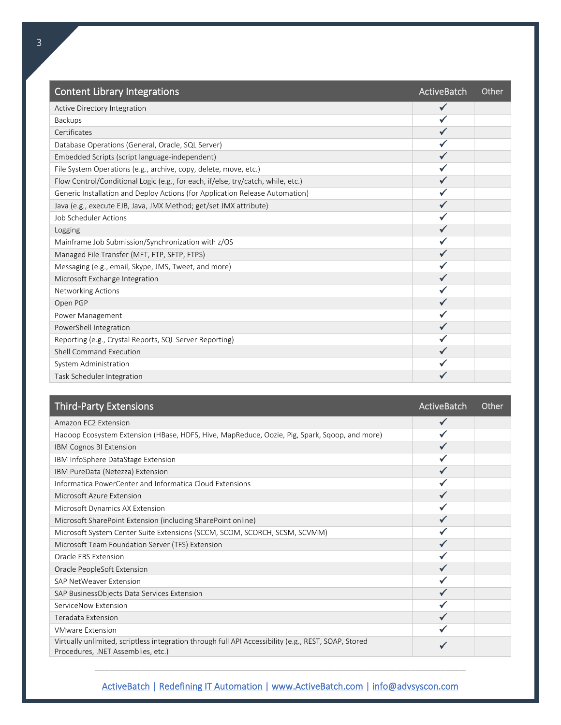| <b>Content Library Integrations</b>                                              | ActiveBatch  | Other |
|----------------------------------------------------------------------------------|--------------|-------|
| Active Directory Integration                                                     | $\checkmark$ |       |
| Backups                                                                          |              |       |
| Certificates                                                                     |              |       |
| Database Operations (General, Oracle, SQL Server)                                |              |       |
| Embedded Scripts (script language-independent)                                   |              |       |
| File System Operations (e.g., archive, copy, delete, move, etc.)                 |              |       |
| Flow Control/Conditional Logic (e.g., for each, if/else, try/catch, while, etc.) |              |       |
| Generic Installation and Deploy Actions (for Application Release Automation)     |              |       |
| Java (e.g., execute EJB, Java, JMX Method; get/set JMX attribute)                |              |       |
| Job Scheduler Actions                                                            |              |       |
| Logging                                                                          |              |       |
| Mainframe Job Submission/Synchronization with z/OS                               |              |       |
| Managed File Transfer (MFT, FTP, SFTP, FTPS)                                     |              |       |
| Messaging (e.g., email, Skype, JMS, Tweet, and more)                             |              |       |
| Microsoft Exchange Integration                                                   |              |       |
| <b>Networking Actions</b>                                                        |              |       |
| Open PGP                                                                         |              |       |
| Power Management                                                                 |              |       |
| PowerShell Integration                                                           |              |       |
| Reporting (e.g., Crystal Reports, SQL Server Reporting)                          |              |       |
| Shell Command Execution                                                          |              |       |
| System Administration                                                            |              |       |
| Task Scheduler Integration                                                       |              |       |

| <b>Third-Party Extensions</b>                                                                                                              | ActiveBatch  | Other |
|--------------------------------------------------------------------------------------------------------------------------------------------|--------------|-------|
| Amazon EC2 Extension                                                                                                                       | $\checkmark$ |       |
| Hadoop Ecosystem Extension (HBase, HDFS, Hive, MapReduce, Oozie, Pig, Spark, Sqoop, and more)                                              |              |       |
| IBM Cognos BI Extension                                                                                                                    |              |       |
| IBM InfoSphere DataStage Extension                                                                                                         |              |       |
| IBM PureData (Netezza) Extension                                                                                                           |              |       |
| Informatica PowerCenter and Informatica Cloud Extensions                                                                                   |              |       |
| Microsoft Azure Extension                                                                                                                  |              |       |
| Microsoft Dynamics AX Extension                                                                                                            |              |       |
| Microsoft SharePoint Extension (including SharePoint online)                                                                               |              |       |
| Microsoft System Center Suite Extensions (SCCM, SCOM, SCORCH, SCSM, SCVMM)                                                                 |              |       |
| Microsoft Team Foundation Server (TFS) Extension                                                                                           |              |       |
| Oracle EBS Extension                                                                                                                       |              |       |
| Oracle PeopleSoft Extension                                                                                                                |              |       |
| SAP NetWeaver Extension                                                                                                                    |              |       |
| SAP BusinessObjects Data Services Extension                                                                                                |              |       |
| ServiceNow Extension                                                                                                                       |              |       |
| Teradata Extension                                                                                                                         |              |       |
| <b>VMware Extension</b>                                                                                                                    |              |       |
| Virtually unlimited, scriptless integration through full API Accessibility (e.g., REST, SOAP, Stored<br>Procedures, .NET Assemblies, etc.) |              |       |
|                                                                                                                                            |              |       |

[ActiveBatch | Redefining IT Automation | www.ActiveBatch.com](http://www.activebatch.com/) | info@advsyscon.com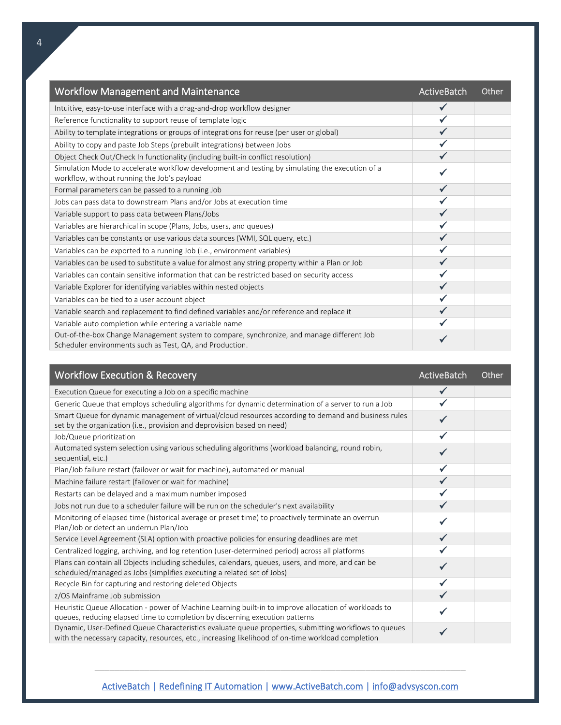| <b>Workflow Management and Maintenance</b>                                                                                                            | <b>ActiveBatch</b> | Other |
|-------------------------------------------------------------------------------------------------------------------------------------------------------|--------------------|-------|
| Intuitive, easy-to-use interface with a drag-and-drop workflow designer                                                                               |                    |       |
| Reference functionality to support reuse of template logic                                                                                            |                    |       |
| Ability to template integrations or groups of integrations for reuse (per user or global)                                                             |                    |       |
| Ability to copy and paste Job Steps (prebuilt integrations) between Jobs                                                                              |                    |       |
| Object Check Out/Check In functionality (including built-in conflict resolution)                                                                      |                    |       |
| Simulation Mode to accelerate workflow development and testing by simulating the execution of a<br>workflow, without running the Job's payload        |                    |       |
| Formal parameters can be passed to a running Job                                                                                                      |                    |       |
| Jobs can pass data to downstream Plans and/or Jobs at execution time                                                                                  |                    |       |
| Variable support to pass data between Plans/Jobs                                                                                                      |                    |       |
| Variables are hierarchical in scope (Plans, Jobs, users, and queues)                                                                                  |                    |       |
| Variables can be constants or use various data sources (WMI, SQL query, etc.)                                                                         |                    |       |
| Variables can be exported to a running Job (i.e., environment variables)                                                                              |                    |       |
| Variables can be used to substitute a value for almost any string property within a Plan or Job                                                       |                    |       |
| Variables can contain sensitive information that can be restricted based on security access                                                           |                    |       |
| Variable Explorer for identifying variables within nested objects                                                                                     |                    |       |
| Variables can be tied to a user account object                                                                                                        |                    |       |
| Variable search and replacement to find defined variables and/or reference and replace it                                                             |                    |       |
| Variable auto completion while entering a variable name                                                                                               |                    |       |
| Out-of-the-box Change Management system to compare, synchronize, and manage different Job<br>Scheduler environments such as Test, QA, and Production. |                    |       |

| <b>Workflow Execution &amp; Recovery</b>                                                                                                                                                                    | <b>ActiveBatch</b> | Other |
|-------------------------------------------------------------------------------------------------------------------------------------------------------------------------------------------------------------|--------------------|-------|
| Execution Queue for executing a Job on a specific machine                                                                                                                                                   |                    |       |
| Generic Queue that employs scheduling algorithms for dynamic determination of a server to run a Job                                                                                                         |                    |       |
| Smart Queue for dynamic management of virtual/cloud resources according to demand and business rules<br>set by the organization (i.e., provision and deprovision based on need)                             |                    |       |
| Job/Queue prioritization                                                                                                                                                                                    |                    |       |
| Automated system selection using various scheduling algorithms (workload balancing, round robin,<br>sequential, etc.)                                                                                       |                    |       |
| Plan/Job failure restart (failover or wait for machine), automated or manual                                                                                                                                |                    |       |
| Machine failure restart (failover or wait for machine)                                                                                                                                                      |                    |       |
| Restarts can be delayed and a maximum number imposed                                                                                                                                                        |                    |       |
| Jobs not run due to a scheduler failure will be run on the scheduler's next availability                                                                                                                    |                    |       |
| Monitoring of elapsed time (historical average or preset time) to proactively terminate an overrun<br>Plan/Job or detect an underrun Plan/Job                                                               |                    |       |
| Service Level Agreement (SLA) option with proactive policies for ensuring deadlines are met                                                                                                                 |                    |       |
| Centralized logging, archiving, and log retention (user-determined period) across all platforms                                                                                                             |                    |       |
| Plans can contain all Objects including schedules, calendars, queues, users, and more, and can be<br>scheduled/managed as Jobs (simplifies executing a related set of Jobs)                                 |                    |       |
| Recycle Bin for capturing and restoring deleted Objects                                                                                                                                                     | ✓                  |       |
| z/OS Mainframe Job submission                                                                                                                                                                               |                    |       |
| Heuristic Queue Allocation - power of Machine Learning built-in to improve allocation of workloads to<br>queues, reducing elapsed time to completion by discerning execution patterns                       |                    |       |
| Dynamic, User-Defined Queue Characteristics evaluate queue properties, submitting workflows to queues<br>with the necessary capacity, resources, etc., increasing likelihood of on-time workload completion |                    |       |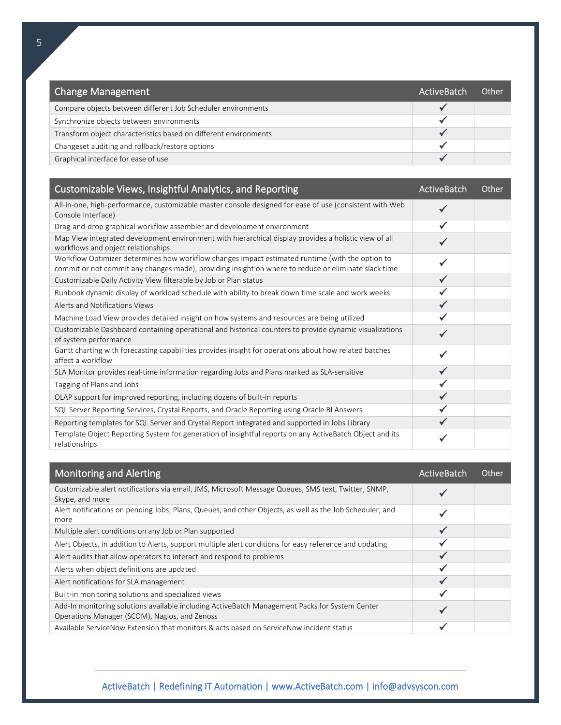| Change Management                                                | ActiveBatch | <b>Other</b> |
|------------------------------------------------------------------|-------------|--------------|
| Compare objects between different Job Scheduler environments     |             |              |
| Synchronize objects between environments                         |             |              |
| Transform object characteristics based on different environments |             |              |
| Changeset auditing and rollback/restore options                  |             |              |
| Graphical interface for ease of use                              |             |              |

| Customizable Views, Insightful Analytics, and Reporting                                                                                                                                                 | ActiveBatch | Other |
|---------------------------------------------------------------------------------------------------------------------------------------------------------------------------------------------------------|-------------|-------|
| All-in-one, high-performance, customizable master console designed for ease of use (consistent with Web<br>Console Interface)                                                                           |             |       |
| Drag-and-drop graphical workflow assembler and development environment                                                                                                                                  |             |       |
| Map View integrated development environment with hierarchical display provides a holistic view of all<br>workflows and object relationships                                                             |             |       |
| Workflow Optimizer determines how workflow changes impact estimated runtime (with the option to<br>commit or not commit any changes made), providing insight on where to reduce or eliminate slack time |             |       |
| Customizable Daily Activity View filterable by Job or Plan status                                                                                                                                       |             |       |
| Runbook dynamic display of workload schedule with ability to break down time scale and work weeks                                                                                                       |             |       |
| Alerts and Notifications Views                                                                                                                                                                          |             |       |
| Machine Load View provides detailed insight on how systems and resources are being utilized                                                                                                             |             |       |
| Customizable Dashboard containing operational and historical counters to provide dynamic visualizations<br>of system performance                                                                        |             |       |
| Gantt charting with forecasting capabilities provides insight for operations about how related batches<br>affect a workflow                                                                             |             |       |
| SLA Monitor provides real-time information regarding Jobs and Plans marked as SLA-sensitive                                                                                                             |             |       |
| Tagging of Plans and Jobs                                                                                                                                                                               |             |       |
| OLAP support for improved reporting, including dozens of built-in reports                                                                                                                               |             |       |
| SQL Server Reporting Services, Crystal Reports, and Oracle Reporting using Oracle BI Answers                                                                                                            |             |       |
| Reporting templates for SQL Server and Crystal Report integrated and supported in Jobs Library                                                                                                          |             |       |
| Template Object Reporting System for generation of insightful reports on any ActiveBatch Object and its<br>relationships                                                                                |             |       |

| <b>Monitoring and Alerting</b>                                                                                                                  | ActiveBatch | Other |
|-------------------------------------------------------------------------------------------------------------------------------------------------|-------------|-------|
| Customizable alert notifications via email, JMS, Microsoft Message Queues, SMS text, Twitter, SNMP,<br>Skype, and more                          |             |       |
| Alert notifications on pending Jobs, Plans, Queues, and other Objects, as well as the Job Scheduler, and<br>more                                |             |       |
| Multiple alert conditions on any Job or Plan supported                                                                                          |             |       |
| Alert Objects, in addition to Alerts, support multiple alert conditions for easy reference and updating                                         |             |       |
| Alert audits that allow operators to interact and respond to problems                                                                           |             |       |
| Alerts when object definitions are updated                                                                                                      |             |       |
| Alert notifications for SLA management                                                                                                          |             |       |
| Built-in monitoring solutions and specialized views                                                                                             |             |       |
| Add-In monitoring solutions available including ActiveBatch Management Packs for System Center<br>Operations Manager (SCOM), Nagios, and Zenoss |             |       |
| Available ServiceNow Extension that monitors & acts based on ServiceNow incident status                                                         |             |       |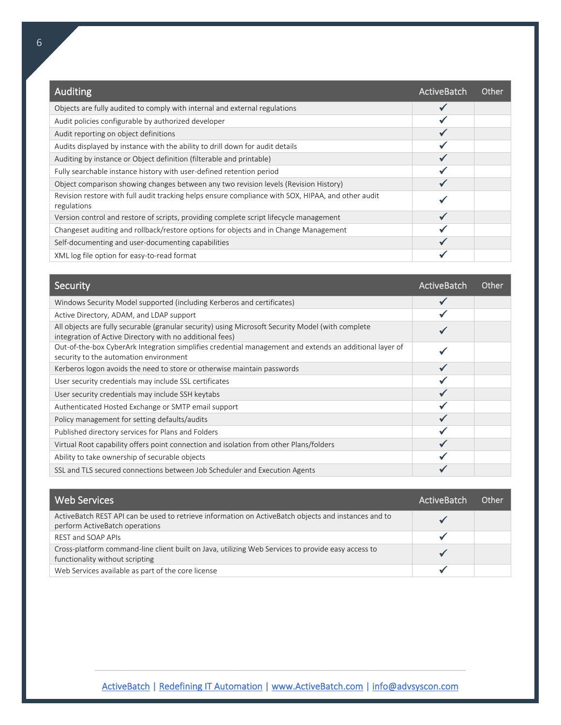| Auditing                                                                                                          | ActiveBatch | Other |
|-------------------------------------------------------------------------------------------------------------------|-------------|-------|
| Objects are fully audited to comply with internal and external regulations                                        |             |       |
| Audit policies configurable by authorized developer                                                               |             |       |
| Audit reporting on object definitions                                                                             |             |       |
| Audits displayed by instance with the ability to drill down for audit details                                     |             |       |
| Auditing by instance or Object definition (filterable and printable)                                              |             |       |
| Fully searchable instance history with user-defined retention period                                              |             |       |
| Object comparison showing changes between any two revision levels (Revision History)                              |             |       |
| Revision restore with full audit tracking helps ensure compliance with SOX, HIPAA, and other audit<br>regulations |             |       |
| Version control and restore of scripts, providing complete script lifecycle management                            |             |       |
| Changeset auditing and rollback/restore options for objects and in Change Management                              |             |       |
| Self-documenting and user-documenting capabilities                                                                |             |       |
| XML log file option for easy-to-read format                                                                       |             |       |

| Security                                                                                                                                                      | ActiveBatch | Other |
|---------------------------------------------------------------------------------------------------------------------------------------------------------------|-------------|-------|
| Windows Security Model supported (including Kerberos and certificates)                                                                                        |             |       |
| Active Directory, ADAM, and LDAP support                                                                                                                      |             |       |
| All objects are fully securable (granular security) using Microsoft Security Model (with complete<br>integration of Active Directory with no additional fees) |             |       |
| Out-of-the-box CyberArk Integration simplifies credential management and extends an additional layer of<br>security to the automation environment             |             |       |
| Kerberos logon avoids the need to store or otherwise maintain passwords                                                                                       |             |       |
| User security credentials may include SSL certificates                                                                                                        |             |       |
| User security credentials may include SSH keytabs                                                                                                             |             |       |
| Authenticated Hosted Exchange or SMTP email support                                                                                                           |             |       |
| Policy management for setting defaults/audits                                                                                                                 |             |       |
| Published directory services for Plans and Folders                                                                                                            |             |       |
| Virtual Root capability offers point connection and isolation from other Plans/folders                                                                        |             |       |
| Ability to take ownership of securable objects                                                                                                                |             |       |
| SSL and TLS secured connections between Job Scheduler and Execution Agents                                                                                    |             |       |

| l Web Services l                                                                                                                       | <b>ActiveBatch</b> | 0ther |
|----------------------------------------------------------------------------------------------------------------------------------------|--------------------|-------|
| ActiveBatch REST API can be used to retrieve information on ActiveBatch objects and instances and to<br>perform ActiveBatch operations |                    |       |
| REST and SOAP APIs                                                                                                                     |                    |       |
| Cross-platform command-line client built on Java, utilizing Web Services to provide easy access to<br>functionality without scripting  |                    |       |
| Web Services available as part of the core license                                                                                     |                    |       |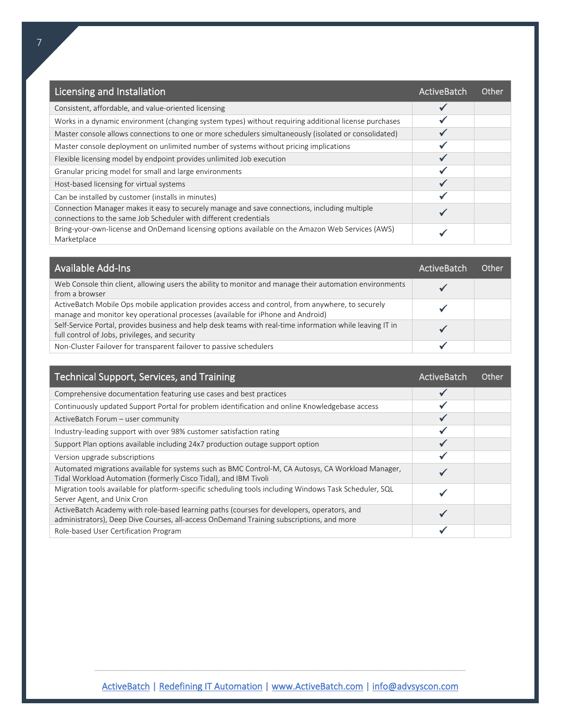| Licensing and Installation                                                                                                                                       | <b>ActiveBatch</b> | Other |
|------------------------------------------------------------------------------------------------------------------------------------------------------------------|--------------------|-------|
| Consistent, affordable, and value-oriented licensing                                                                                                             |                    |       |
| Works in a dynamic environment (changing system types) without requiring additional license purchases                                                            |                    |       |
| Master console allows connections to one or more schedulers simultaneously (isolated or consolidated)                                                            |                    |       |
| Master console deployment on unlimited number of systems without pricing implications                                                                            |                    |       |
| Flexible licensing model by endpoint provides unlimited Job execution                                                                                            |                    |       |
| Granular pricing model for small and large environments                                                                                                          |                    |       |
| Host-based licensing for virtual systems                                                                                                                         |                    |       |
| Can be installed by customer (installs in minutes)                                                                                                               |                    |       |
| Connection Manager makes it easy to securely manage and save connections, including multiple<br>connections to the same Job Scheduler with different credentials |                    |       |
| Bring-your-own-license and OnDemand licensing options available on the Amazon Web Services (AWS)<br>Marketplace                                                  |                    |       |

| Available Add-Ins                                                                                                                                                                    | ActiveBatch | Other |
|--------------------------------------------------------------------------------------------------------------------------------------------------------------------------------------|-------------|-------|
| Web Console thin client, allowing users the ability to monitor and manage their automation environments<br>from a browser                                                            |             |       |
| ActiveBatch Mobile Ops mobile application provides access and control, from anywhere, to securely<br>manage and monitor key operational processes (available for iPhone and Android) |             |       |
| Self-Service Portal, provides business and help desk teams with real-time information while leaving IT in<br>full control of Jobs, privileges, and security                          |             |       |
| Non-Cluster Failover for transparent failover to passive schedulers                                                                                                                  |             |       |

| Technical Support, Services, and Training                                                                                                                                              | ActiveBatch | Other |
|----------------------------------------------------------------------------------------------------------------------------------------------------------------------------------------|-------------|-------|
| Comprehensive documentation featuring use cases and best practices                                                                                                                     |             |       |
| Continuously updated Support Portal for problem identification and online Knowledgebase access                                                                                         |             |       |
| ActiveBatch Forum - user community                                                                                                                                                     |             |       |
| Industry-leading support with over 98% customer satisfaction rating                                                                                                                    |             |       |
| Support Plan options available including 24x7 production outage support option                                                                                                         |             |       |
| Version upgrade subscriptions                                                                                                                                                          |             |       |
| Automated migrations available for systems such as BMC Control-M, CA Autosys, CA Workload Manager,<br>Tidal Workload Automation (formerly Cisco Tidal), and IBM Tivoli                 |             |       |
| Migration tools available for platform-specific scheduling tools including Windows Task Scheduler, SQL<br>Server Agent, and Unix Cron                                                  |             |       |
| ActiveBatch Academy with role-based learning paths (courses for developers, operators, and<br>administrators), Deep Dive Courses, all-access OnDemand Training subscriptions, and more |             |       |
| Role-based User Certification Program                                                                                                                                                  |             |       |